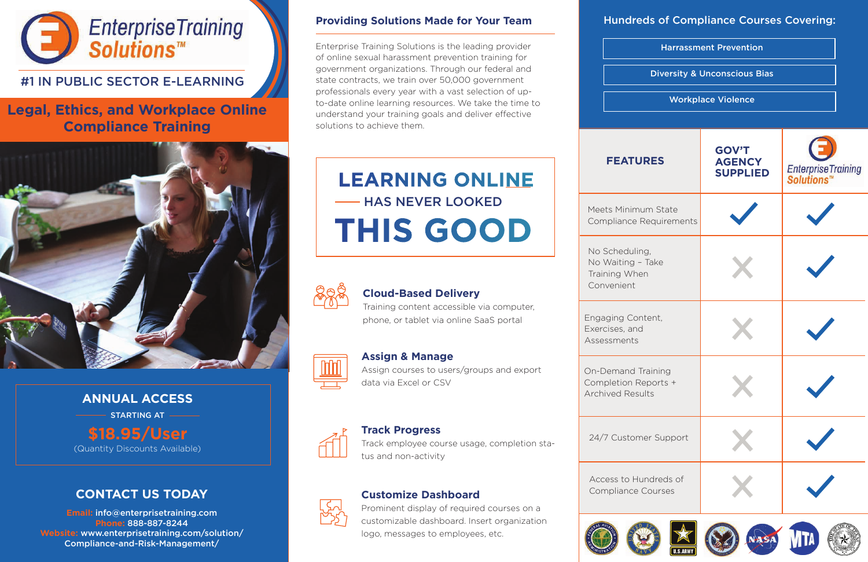

# #1 IN PUBLIC SECTOR E-LEARNING

# **Legal, Ethics, and Workplace Online Compliance Training**



## **Providing Solutions Made for Your Team**

Enterprise Training Solutions is the leading provider of online sexual harassment prevention training for government organizations. Through our federal and state contracts, we train over 50,000 government professionals every year with a vast selection of upto-date online learning resources. We take the time to understand your training goals and deliver effective solutions to achieve them.

> No Scheduli No Waiting Training When Convenient

Engaging Co Exercises, and Assessments

On-Demand Completion **F Archived Res** 

24/7 Custon

Access to H Compliance



### **Track Progress**

Track employee course usage, completion status and non-activity



### **Customize Dashboard**

Prominent display of required courses on a customizable dashboard. Insert organization logo, messages to employees, etc.



# **CONTACT US TODAY**

**Email:** info@enterprisetraining.com **Phone:** 888-887-8244 **Website:** www.enterprisetraining.com/solution/ Compliance-and-Risk-Management/

# **Assign & Manage**

Assign courses to users/groups and export data via Excel or CSV

| <b>Harrassment Prevention</b><br><b>Diversity &amp; Unconscious Bias</b><br><b>Workplace Violence</b> |  |  |             |                                                  |                                  |
|-------------------------------------------------------------------------------------------------------|--|--|-------------|--------------------------------------------------|----------------------------------|
|                                                                                                       |  |  |             |                                                  |                                  |
|                                                                                                       |  |  | <b>JRES</b> | <b>GOV'T</b><br><b>AGENCY</b><br><b>SUPPLIED</b> | EnterpriseTraining<br>Solutions™ |
| um State<br>Requirements                                                                              |  |  |             |                                                  |                                  |
| ng,<br>- Take<br>en                                                                                   |  |  |             |                                                  |                                  |
| ntent,<br>J                                                                                           |  |  |             |                                                  |                                  |
| Training<br>Reports +<br>ults                                                                         |  |  |             |                                                  |                                  |
| ner Support                                                                                           |  |  |             |                                                  |                                  |
| undreds of<br>Courses                                                                                 |  |  |             |                                                  |                                  |

















# Hundreds of Compliance Courses Covering:



# **FEATU**

Meets Minim Compliance

### **Cloud-Based Delivery**

Training content accessible via computer, phone, or tablet via online SaaS portal